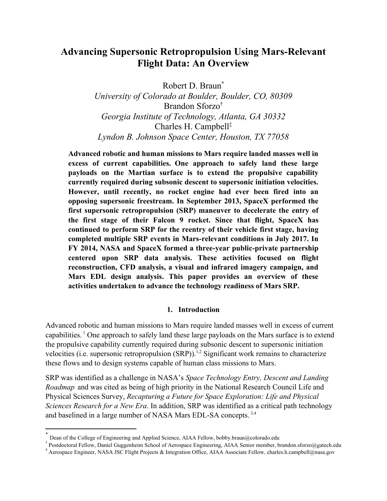# **Advancing Supersonic Retropropulsion Using Mars-Relevant Flight Data: An Overview**

Robert D. Braun\*

*University of Colorado at Boulder, Boulder, CO, 80309* Brandon Sforzo† *Georgia Institute of Technology, Atlanta, GA 30332* Charles H. Campbell‡ *Lyndon B. Johnson Space Center, Houston, TX 77058*

**Advanced robotic and human missions to Mars require landed masses well in excess of current capabilities. One approach to safely land these large payloads on the Martian surface is to extend the propulsive capability currently required during subsonic descent to supersonic initiation velocities. However, until recently, no rocket engine had ever been fired into an opposing supersonic freestream. In September 2013, SpaceX performed the first supersonic retropropulsion (SRP) maneuver to decelerate the entry of the first stage of their Falcon 9 rocket. Since that flight, SpaceX has continued to perform SRP for the reentry of their vehicle first stage, having completed multiple SRP events in Mars-relevant conditions in July 2017. In FY 2014, NASA and SpaceX formed a three-year public-private partnership centered upon SRP data analysis. These activities focused on flight reconstruction, CFD analysis, a visual and infrared imagery campaign, and Mars EDL design analysis. This paper provides an overview of these activities undertaken to advance the technology readiness of Mars SRP.**

## **1. Introduction**

Advanced robotic and human missions to Mars require landed masses well in excess of current capabilities. <sup>1</sup> One approach to safely land these large payloads on the Mars surface is to extend the propulsive capability currently required during subsonic descent to supersonic initiation velocities (i.e. supersonic retropropulsion  $(SRP)$ ).<sup>1,2</sup> Significant work remains to characterize these flows and to design systems capable of human class missions to Mars.

SRP was identified as a challenge in NASA's *Space Technology Entry, Descent and Landing Roadmap* and was cited as being of high priority in the National Research Council Life and Physical Sciences Survey, *Recapturing a Future for Space Exploration: Life and Physical Sciences Research for a New Era*. In addition, SRP was identified as a critical path technology and baselined in a large number of NASA Mars EDL-SA concepts. 3,4

 $\overline{\phantom{a}}$ 

<sup>\*</sup> Dean of the College of Engineering and Applied Science, AIAA Fellow, bobby.braun@colorado.edu

<sup>†</sup> Postdoctoral Fellow, Daniel Guggenheim School of Aerospace Engineering, AIAA Senior member, brandon.sforzo@gatech.edu

<sup>‡</sup> Aerospace Engineer, NASA JSC Flight Projects & Integration Office, AIAA Associate Fellow, charles.h.campbell@nasa.gov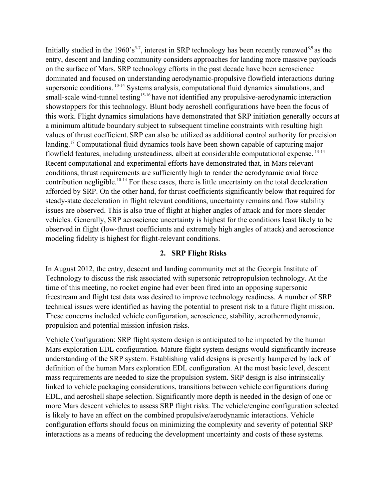Initially studied in the 1960's<sup>5-7</sup>, interest in SRP technology has been recently renewed<sup>8,9</sup> as the entry, descent and landing community considers approaches for landing more massive payloads on the surface of Mars. SRP technology efforts in the past decade have been aeroscience dominated and focused on understanding aerodynamic-propulsive flowfield interactions during supersonic conditions. <sup>10-14</sup> Systems analysis, computational fluid dynamics simulations, and small-scale wind-tunnel testing<sup>15-16</sup> have not identified any propulsive-aerodynamic interaction showstoppers for this technology. Blunt body aeroshell configurations have been the focus of this work. Flight dynamics simulations have demonstrated that SRP initiation generally occurs at a minimum altitude boundary subject to subsequent timeline constraints with resulting high values of thrust coefficient. SRP can also be utilized as additional control authority for precision landing.<sup>17</sup> Computational fluid dynamics tools have been shown capable of capturing major flowfield features, including unsteadiness, albeit at considerable computational expense. 13-14 Recent computational and experimental efforts have demonstrated that, in Mars relevant conditions, thrust requirements are sufficiently high to render the aerodynamic axial force contribution negligible.<sup>10-14</sup> For these cases, there is little uncertainty on the total deceleration afforded by SRP. On the other hand, for thrust coefficients significantly below that required for steady-state deceleration in flight relevant conditions, uncertainty remains and flow stability issues are observed. This is also true of flight at higher angles of attack and for more slender vehicles. Generally, SRP aeroscience uncertainty is highest for the conditions least likely to be observed in flight (low-thrust coefficients and extremely high angles of attack) and aeroscience modeling fidelity is highest for flight-relevant conditions.

#### **2. SRP Flight Risks**

In August 2012, the entry, descent and landing community met at the Georgia Institute of Technology to discuss the risk associated with supersonic retropropulsion technology. At the time of this meeting, no rocket engine had ever been fired into an opposing supersonic freestream and flight test data was desired to improve technology readiness. A number of SRP technical issues were identified as having the potential to present risk to a future flight mission. These concerns included vehicle configuration, aeroscience, stability, aerothermodynamic, propulsion and potential mission infusion risks.

Vehicle Configuration: SRP flight system design is anticipated to be impacted by the human Mars exploration EDL configuration. Mature flight system designs would significantly increase understanding of the SRP system. Establishing valid designs is presently hampered by lack of definition of the human Mars exploration EDL configuration. At the most basic level, descent mass requirements are needed to size the propulsion system. SRP design is also intrinsically linked to vehicle packaging considerations, transitions between vehicle configurations during EDL, and aeroshell shape selection. Significantly more depth is needed in the design of one or more Mars descent vehicles to assess SRP flight risks. The vehicle/engine configuration selected is likely to have an effect on the combined propulsive/aerodynamic interactions. Vehicle configuration efforts should focus on minimizing the complexity and severity of potential SRP interactions as a means of reducing the development uncertainty and costs of these systems.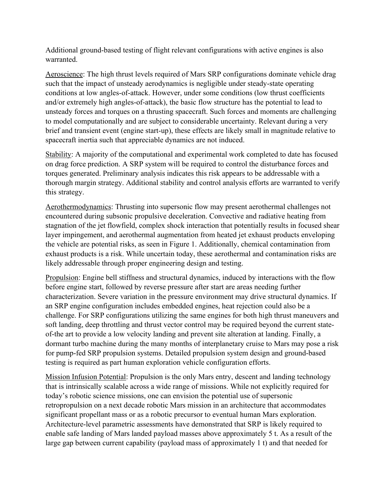Additional ground-based testing of flight relevant configurations with active engines is also warranted.

Aeroscience: The high thrust levels required of Mars SRP configurations dominate vehicle drag such that the impact of unsteady aerodynamics is negligible under steady-state operating conditions at low angles-of-attack. However, under some conditions (low thrust coefficients and/or extremely high angles-of-attack), the basic flow structure has the potential to lead to unsteady forces and torques on a thrusting spacecraft. Such forces and moments are challenging to model computationally and are subject to considerable uncertainty. Relevant during a very brief and transient event (engine start-up), these effects are likely small in magnitude relative to spacecraft inertia such that appreciable dynamics are not induced.

Stability: A majority of the computational and experimental work completed to date has focused on drag force prediction. A SRP system will be required to control the disturbance forces and torques generated. Preliminary analysis indicates this risk appears to be addressable with a thorough margin strategy. Additional stability and control analysis efforts are warranted to verify this strategy.

Aerothermodynamics: Thrusting into supersonic flow may present aerothermal challenges not encountered during subsonic propulsive deceleration. Convective and radiative heating from stagnation of the jet flowfield, complex shock interaction that potentially results in focused shear layer impingement, and aerothermal augmentation from heated jet exhaust products enveloping the vehicle are potential risks, as seen in [Figure 1.](#page-3-0) Additionally, chemical contamination from exhaust products is a risk. While uncertain today, these aerothermal and contamination risks are likely addressable through proper engineering design and testing.

Propulsion: Engine bell stiffness and structural dynamics, induced by interactions with the flow before engine start, followed by reverse pressure after start are areas needing further characterization. Severe variation in the pressure environment may drive structural dynamics. If an SRP engine configuration includes embedded engines, heat rejection could also be a challenge. For SRP configurations utilizing the same engines for both high thrust maneuvers and soft landing, deep throttling and thrust vector control may be required beyond the current stateof-the art to provide a low velocity landing and prevent site alteration at landing. Finally, a dormant turbo machine during the many months of interplanetary cruise to Mars may pose a risk for pump-fed SRP propulsion systems. Detailed propulsion system design and ground-based testing is required as part human exploration vehicle configuration efforts.

Mission Infusion Potential: Propulsion is the only Mars entry, descent and landing technology that is intrinsically scalable across a wide range of missions. While not explicitly required for today's robotic science missions, one can envision the potential use of supersonic retropropulsion on a next decade robotic Mars mission in an architecture that accommodates significant propellant mass or as a robotic precursor to eventual human Mars exploration. Architecture-level parametric assessments have demonstrated that SRP is likely required to enable safe landing of Mars landed payload masses above approximately 5 t. As a result of the large gap between current capability (payload mass of approximately 1 t) and that needed for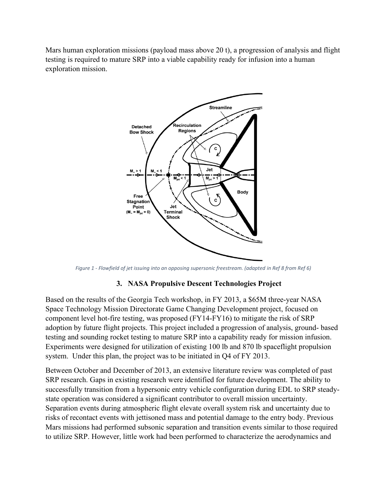Mars human exploration missions (payload mass above 20 t), a progression of analysis and flight testing is required to mature SRP into a viable capability ready for infusion into a human exploration mission.



<span id="page-3-0"></span>*Figure 1 - Flowfield of jet issuing into an opposing supersonic freestream. (adapted in Ref 8 from Ref 6)*

## **3. NASA Propulsive Descent Technologies Project**

Based on the results of the Georgia Tech workshop, in FY 2013, a \$65M three-year NASA Space Technology Mission Directorate Game Changing Development project, focused on component level hot-fire testing, was proposed (FY14-FY16) to mitigate the risk of SRP adoption by future flight projects. This project included a progression of analysis, ground- based testing and sounding rocket testing to mature SRP into a capability ready for mission infusion. Experiments were designed for utilization of existing 100 lb and 870 lb spaceflight propulsion system. Under this plan, the project was to be initiated in Q4 of FY 2013.

Between October and December of 2013, an extensive literature review was completed of past SRP research. Gaps in existing research were identified for future development. The ability to successfully transition from a hypersonic entry vehicle configuration during EDL to SRP steadystate operation was considered a significant contributor to overall mission uncertainty. Separation events during atmospheric flight elevate overall system risk and uncertainty due to risks of recontact events with jettisoned mass and potential damage to the entry body. Previous Mars missions had performed subsonic separation and transition events similar to those required to utilize SRP. However, little work had been performed to characterize the aerodynamics and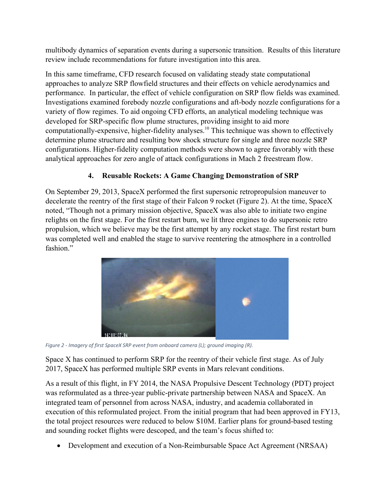multibody dynamics of separation events during a supersonic transition. Results of this literature review include recommendations for future investigation into this area.

In this same timeframe, CFD research focused on validating steady state computational approaches to analyze SRP flowfield structures and their effects on vehicle aerodynamics and performance. In particular, the effect of vehicle configuration on SRP flow fields was examined. Investigations examined forebody nozzle configurations and aft-body nozzle configurations for a variety of flow regimes. To aid ongoing CFD efforts, an analytical modeling technique was developed for SRP-specific flow plume structures, providing insight to aid more computationally-expensive, higher-fidelity analyses.<sup>10</sup> This technique was shown to effectively determine plume structure and resulting bow shock structure for single and three nozzle SRP configurations. Higher-fidelity computation methods were shown to agree favorably with these analytical approaches for zero angle of attack configurations in Mach 2 freestream flow.

## **4. Reusable Rockets: A Game Changing Demonstration of SRP**

On September 29, 2013, SpaceX performed the first supersonic retropropulsion maneuver to decelerate the reentry of the first stage of their Falcon 9 rocket [\(Figure 2\)](#page-4-0). At the time, SpaceX noted, "Though not a primary mission objective, SpaceX was also able to initiate two engine relights on the first stage. For the first restart burn, we lit three engines to do supersonic retro propulsion, which we believe may be the first attempt by any rocket stage. The first restart burn was completed well and enabled the stage to survive reentering the atmosphere in a controlled fashion."



*Figure 2 - Imagery of first SpaceX SRP event from onboard camera (L); ground imaging (R).*

<span id="page-4-0"></span>Space X has continued to perform SRP for the reentry of their vehicle first stage. As of July 2017, SpaceX has performed multiple SRP events in Mars relevant conditions.

As a result of this flight, in FY 2014, the NASA Propulsive Descent Technology (PDT) project was reformulated as a three-year public-private partnership between NASA and SpaceX. An integrated team of personnel from across NASA, industry, and academia collaborated in execution of this reformulated project. From the initial program that had been approved in FY13, the total project resources were reduced to below \$10M. Earlier plans for ground-based testing and sounding rocket flights were descoped, and the team's focus shifted to:

Development and execution of a Non-Reimbursable Space Act Agreement (NRSAA)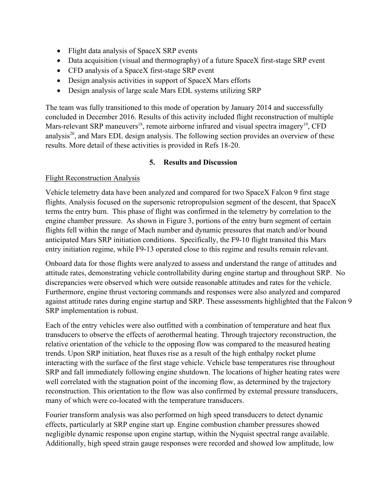- Flight data analysis of SpaceX SRP events
- Data acquisition (visual and thermography) of a future SpaceX first-stage SRP event
- CFD analysis of a SpaceX first-stage SRP event
- Design analysis activities in support of SpaceX Mars efforts
- Design analysis of large scale Mars EDL systems utilizing SRP

The team was fully transitioned to this mode of operation by January 2014 and successfully concluded in December 2016. Results of this activity included flight reconstruction of multiple Mars-relevant SRP maneuvers<sup>18</sup>, remote airborne infrared and visual spectra imagery<sup>19</sup>, CFD analysis<sup>20</sup>, and Mars EDL design analysis. The following section provides an overview of these results. More detail of these activities is provided in Refs 18-20.

## **5. Results and Discussion**

## Flight Reconstruction Analysis

Vehicle telemetry data have been analyzed and compared for two SpaceX Falcon 9 first stage flights. Analysis focused on the supersonic retropropulsion segment of the descent, that SpaceX terms the entry burn. This phase of flight was confirmed in the telemetry by correlation to the engine chamber pressure. As shown in [Figure 3,](#page-6-0) portions of the entry burn segment of certain flights fell within the range of Mach number and dynamic pressures that match and/or bound anticipated Mars SRP initiation conditions. Specifically, the F9-10 flight transited this Mars entry initiation regime, while F9-13 operated close to this regime and results remain relevant.

Onboard data for those flights were analyzed to assess and understand the range of attitudes and attitude rates, demonstrating vehicle controllability during engine startup and throughout SRP. No discrepancies were observed which were outside reasonable attitudes and rates for the vehicle. Furthermore, engine thrust vectoring commands and responses were also analyzed and compared against attitude rates during engine startup and SRP. These assessments highlighted that the Falcon 9 SRP implementation is robust.

Each of the entry vehicles were also outfitted with a combination of temperature and heat flux transducers to observe the effects of aerothermal heating. Through trajectory reconstruction, the relative orientation of the vehicle to the opposing flow was compared to the measured heating trends. Upon SRP initiation, heat fluxes rise as a result of the high enthalpy rocket plume interacting with the surface of the first stage vehicle. Vehicle base temperatures rise throughout SRP and fall immediately following engine shutdown. The locations of higher heating rates were well correlated with the stagnation point of the incoming flow, as determined by the trajectory reconstruction. This orientation to the flow was also confirmed by external pressure transducers, many of which were co-located with the temperature transducers.

Fourier transform analysis was also performed on high speed transducers to detect dynamic effects, particularly at SRP engine start up. Engine combustion chamber pressures showed negligible dynamic response upon engine startup, within the Nyquist spectral range available. Additionally, high speed strain gauge responses were recorded and showed low amplitude, low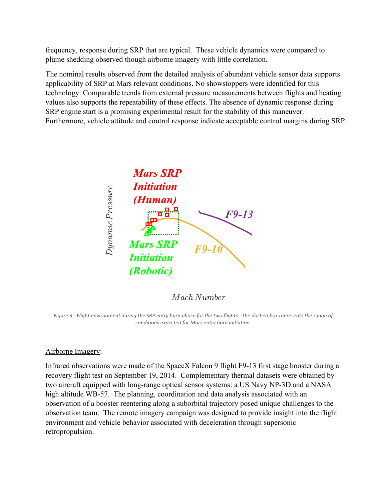frequency, response during SRP that are typical. These vehicle dynamics were compared to plume shedding observed though airborne imagery with little correlation.

The nominal results observed from the detailed analysis of abundant vehicle sensor data supports applicability of SRP at Mars relevant conditions. No showstoppers were identified for this technology. Comparable trends from external pressure measurements between flights and heating values also supports the repeatability of these effects. The absence of dynamic response during SRP engine start is a promising experimental result for the stability of this maneuver. Furthermore, vehicle attitude and control response indicate acceptable control margins during SRP.



<span id="page-6-0"></span>*Figure 3 - Flight environment during the SRP entry burn phase for the two flights. The dashed box represents the range of conditions expected for Mars entry burn initiation.*

## Airborne Imagery:

Infrared observations were made of the SpaceX Falcon 9 flight F9-13 first stage booster during a recovery flight test on September 19, 2014. Complementary thermal datasets were obtained by two aircraft equipped with long-range optical sensor systems: a US Navy NP-3D and a NASA high altitude WB-57. The planning, coordination and data analysis associated with an observation of a booster reentering along a suborbital trajectory posed unique challenges to the observation team. The remote imagery campaign was designed to provide insight into the flight environment and vehicle behavior associated with deceleration through supersonic retropropulsion.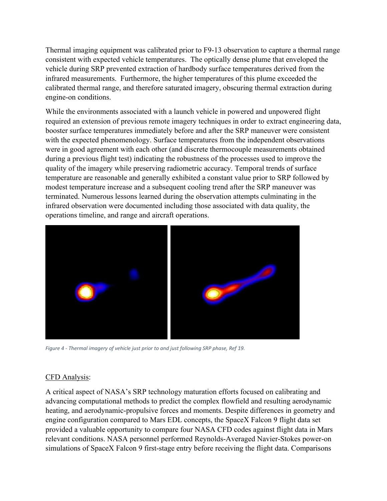Thermal imaging equipment was calibrated prior to F9-13 observation to capture a thermal range consistent with expected vehicle temperatures. The optically dense plume that enveloped the vehicle during SRP prevented extraction of hardbody surface temperatures derived from the infrared measurements. Furthermore, the higher temperatures of this plume exceeded the calibrated thermal range, and therefore saturated imagery, obscuring thermal extraction during engine-on conditions.

While the environments associated with a launch vehicle in powered and unpowered flight required an extension of previous remote imagery techniques in order to extract engineering data, booster surface temperatures immediately before and after the SRP maneuver were consistent with the expected phenomenology. Surface temperatures from the independent observations were in good agreement with each other (and discrete thermocouple measurements obtained during a previous flight test) indicating the robustness of the processes used to improve the quality of the imagery while preserving radiometric accuracy. Temporal trends of surface temperature are reasonable and generally exhibited a constant value prior to SRP followed by modest temperature increase and a subsequent cooling trend after the SRP maneuver was terminated. Numerous lessons learned during the observation attempts culminating in the infrared observation were documented including those associated with data quality, the operations timeline, and range and aircraft operations.



*Figure 4 - Thermal imagery of vehicle just prior to and just following SRP phase, Ref 19.*

## CFD Analysis:

A critical aspect of NASA's SRP technology maturation efforts focused on calibrating and advancing computational methods to predict the complex flowfield and resulting aerodynamic heating, and aerodynamic-propulsive forces and moments. Despite differences in geometry and engine configuration compared to Mars EDL concepts, the SpaceX Falcon 9 flight data set provided a valuable opportunity to compare four NASA CFD codes against flight data in Mars relevant conditions. NASA personnel performed Reynolds-Averaged Navier-Stokes power-on simulations of SpaceX Falcon 9 first-stage entry before receiving the flight data. Comparisons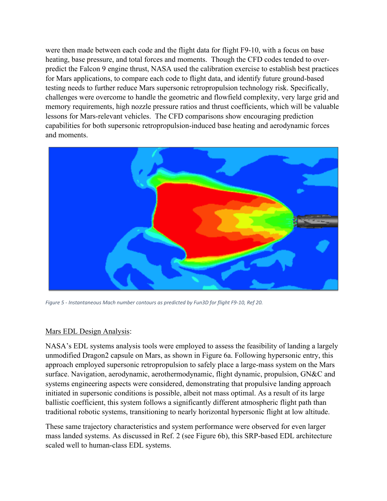were then made between each code and the flight data for flight F9-10, with a focus on base heating, base pressure, and total forces and moments. Though the CFD codes tended to overpredict the Falcon 9 engine thrust, NASA used the calibration exercise to establish best practices for Mars applications, to compare each code to flight data, and identify future ground-based testing needs to further reduce Mars supersonic retropropulsion technology risk. Specifically, challenges were overcome to handle the geometric and flowfield complexity, very large grid and memory requirements, high nozzle pressure ratios and thrust coefficients, which will be valuable lessons for Mars-relevant vehicles. The CFD comparisons show encouraging prediction capabilities for both supersonic retropropulsion-induced base heating and aerodynamic forces and moments.



*Figure 5 - Instantaneous Mach number contours as predicted by Fun3D for flight F9-10, Ref 20.*

## Mars EDL Design Analysis:

NASA's EDL systems analysis tools were employed to assess the feasibility of landing a largely unmodified Dragon2 capsule on Mars, as shown in Figure 6a. Following hypersonic entry, this approach employed supersonic retropropulsion to safely place a large-mass system on the Mars surface. Navigation, aerodynamic, aerothermodynamic, flight dynamic, propulsion, GN&C and systems engineering aspects were considered, demonstrating that propulsive landing approach initiated in supersonic conditions is possible, albeit not mass optimal. As a result of its large ballistic coefficient, this system follows a significantly different atmospheric flight path than traditional robotic systems, transitioning to nearly horizontal hypersonic flight at low altitude.

These same trajectory characteristics and system performance were observed for even larger mass landed systems. As discussed in Ref. 2 (see Figure 6b), this SRP-based EDL architecture scaled well to human-class EDL systems.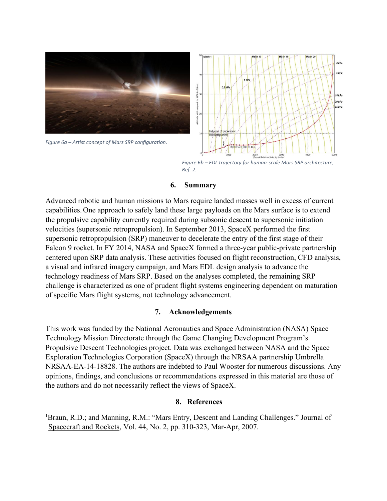

*Figure 6a – Artist concept of Mars SRP configuration.* 



*Figure 6b – EDL trajectory for human-scale Mars SRP architecture, Ref. 2.*

#### **6. Summary**

Advanced robotic and human missions to Mars require landed masses well in excess of current capabilities. One approach to safely land these large payloads on the Mars surface is to extend the propulsive capability currently required during subsonic descent to supersonic initiation velocities (supersonic retropropulsion). In September 2013, SpaceX performed the first supersonic retropropulsion (SRP) maneuver to decelerate the entry of the first stage of their Falcon 9 rocket. In FY 2014, NASA and SpaceX formed a three-year public-private partnership centered upon SRP data analysis. These activities focused on flight reconstruction, CFD analysis, a visual and infrared imagery campaign, and Mars EDL design analysis to advance the technology readiness of Mars SRP. Based on the analyses completed, the remaining SRP challenge is characterized as one of prudent flight systems engineering dependent on maturation of specific Mars flight systems, not technology advancement.

## **7. Acknowledgements**

This work was funded by the National Aeronautics and Space Administration (NASA) Space Technology Mission Directorate through the Game Changing Development Program's Propulsive Descent Technologies project. Data was exchanged between NASA and the Space Exploration Technologies Corporation (SpaceX) through the NRSAA partnership Umbrella NRSAA-EA-14-18828. The authors are indebted to Paul Wooster for numerous discussions. Any opinions, findings, and conclusions or recommendations expressed in this material are those of the authors and do not necessarily reflect the views of SpaceX.

## **8. References**

<sup>1</sup>Braun, R.D.; and Manning, R.M.: "Mars Entry, Descent and Landing Challenges." Journal of Spacecraft and Rockets, Vol. 44, No. 2, pp. 310-323, Mar-Apr, 2007.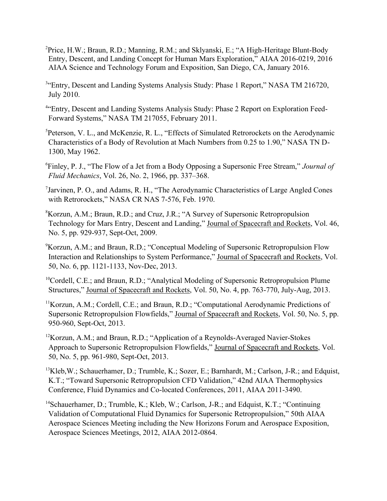- <sup>2</sup>Price, H.W.; Braun, R.D.; Manning, R.M.; and Sklyanski, E.; "A High-Heritage Blunt-Body Entry, Descent, and Landing Concept for Human Mars Exploration," AIAA 2016-0219, 2016 AIAA Science and Technology Forum and Exposition, San Diego, CA, January 2016.
- <sup>3</sup>"Entry, Descent and Landing Systems Analysis Study: Phase 1 Report," NASA TM 216720, July 2010.
- <sup>4</sup>"Entry, Descent and Landing Systems Analysis Study: Phase 2 Report on Exploration Feed-Forward Systems," NASA TM 217055, February 2011.
- <sup>5</sup>Peterson, V. L., and McKenzie, R. L., "Effects of Simulated Retrorockets on the Aerodynamic Characteristics of a Body of Revolution at Mach Numbers from 0.25 to 1.90," NASA TN D-1300, May 1962.
- 6 Finley, P. J., "The Flow of a Jet from a Body Opposing a Supersonic Free Stream," *Journal of Fluid Mechanics*, Vol. 26, No. 2, 1966, pp. 337–368.
- 7 Jarvinen, P. O., and Adams, R. H., "The Aerodynamic Characteristics of Large Angled Cones with Retrorockets," NASA CR NAS 7-576, Feb. 1970.
- <sup>8</sup>Korzun, A.M.; Braun, R.D.; and Cruz, J.R.; "A Survey of Supersonic Retropropulsion Technology for Mars Entry, Descent and Landing," Journal of Spacecraft and Rockets, Vol. 46, No. 5, pp. 929-937, Sept-Oct, 2009.
- $\rm{P}$ Korzun, A.M.; and Braun, R.D.; "Conceptual Modeling of Supersonic Retropropulsion Flow Interaction and Relationships to System Performance," Journal of Spacecraft and Rockets, Vol. 50, No. 6, pp. 1121-1133, Nov-Dec, 2013.
- <sup>10</sup>Cordell, C.E.; and Braun, R.D.; "Analytical Modeling of Supersonic Retropropulsion Plume Structures," Journal of Spacecraft and Rockets, Vol. 50, No. 4, pp. 763-770, July-Aug, 2013.
- <sup>11</sup>Korzun, A.M.; Cordell, C.E.; and Braun, R.D.; "Computational Aerodynamic Predictions of Supersonic Retropropulsion Flowfields," Journal of Spacecraft and Rockets, Vol. 50, No. 5, pp. 950-960, Sept-Oct, 2013.
- <sup>12</sup>Korzun, A.M.; and Braun, R.D.; "Application of a Reynolds-Averaged Navier-Stokes Approach to Supersonic Retropropulsion Flowfields," Journal of Spacecraft and Rockets, Vol. 50, No. 5, pp. 961-980, Sept-Oct, 2013.
- <sup>13</sup>Kleb,W.; Schauerhamer, D.; Trumble, K.; Sozer, E.; Barnhardt, M.; Carlson, J-R.; and Edquist, K.T.; "Toward Supersonic Retropropulsion CFD Validation," 42nd AIAA Thermophysics Conference, Fluid Dynamics and Co-located Conferences, 2011, AIAA 2011-3490.
- <sup>14</sup>Schauerhamer, D.; Trumble, K.; Kleb, W.; Carlson, J-R.; and Edquist, K.T.; "Continuing Validation of Computational Fluid Dynamics for Supersonic Retropropulsion," 50th AIAA Aerospace Sciences Meeting including the New Horizons Forum and Aerospace Exposition, Aerospace Sciences Meetings, 2012, AIAA 2012-0864.